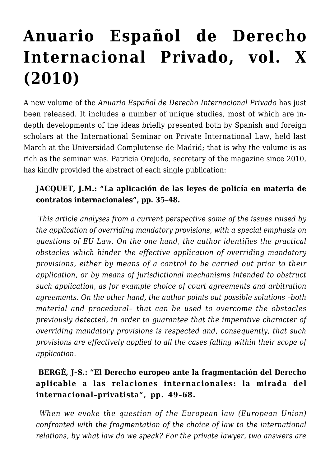# **[Anuario Español de Derecho](https://conflictoflaws.net/2011/anuario-espanol-de-derecho-internacional-privado-vol-x-2010/) [Internacional Privado, vol. X](https://conflictoflaws.net/2011/anuario-espanol-de-derecho-internacional-privado-vol-x-2010/) [\(2010\)](https://conflictoflaws.net/2011/anuario-espanol-de-derecho-internacional-privado-vol-x-2010/)**

A new volume of the *Anuario Español de Derecho Internacional Privado* has just been released. It includes a number of unique studies, most of which are indepth developments of the ideas briefly presented both by Spanish and foreign scholars at the International Seminar on Private International Law, held last March at the Universidad Complutense de Madrid; that is why the volume is as rich as the seminar was. Patricia Orejudo, secretary of the magazine since 2010, has kindly provided the abstract of each single publication:

## **JACQUET, J.M.: "La aplicación de las leyes de policía en materia de contratos internacionales", pp. 35**–**48.**

*This article analyses from a current perspective some of the issues raised by the application of overriding mandatory provisions, with a special emphasis on questions of EU Law. On the one hand, the author identifies the practical obstacles which hinder the effective application of overriding mandatory provisions, either by means of a control to be carried out prior to their application, or by means of jurisdictional mechanisms intended to obstruct such application, as for example choice of court agreements and arbitration agreements. On the other hand, the author points out possible solutions –both material and procedural– that can be used to overcome the obstacles previously detected, in order to guarantee that the imperative character of overriding mandatory provisions is respected and, consequently, that such provisions are effectively applied to all the cases falling within their scope of application.*

# **BERGÉ, J–S.: "El Derecho europeo ante la fragmentación del Derecho aplicable a las relaciones internacionales: la mirada del internacional–privatista", pp. 49–68.**

*When we evoke the question of the European law (European Union) confronted with the fragmentation of the choice of law to the international relations, by what law do we speak? For the private lawyer, two answers are*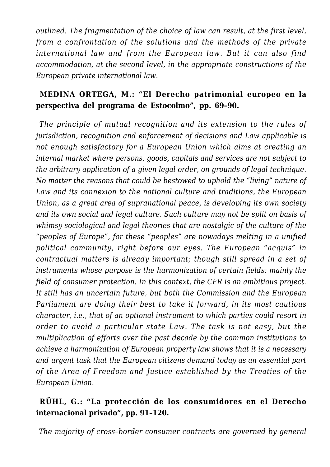*outlined. The fragmentation of the choice of law can result, at the first level, from a confrontation of the solutions and the methods of the private international law and from the European law. But it can also find accommodation, at the second level, in the appropriate constructions of the European private international law.*

## **MEDINA ORTEGA, M.: "El Derecho patrimonial europeo en la perspectiva del programa de Estocolmo", pp. 69–90.**

*The principle of mutual recognition and its extension to the rules of jurisdiction, recognition and enforcement of decisions and Law applicable is not enough satisfactory for a European Union which aims at creating an internal market where persons, goods, capitals and services are not subject to the arbitrary application of a given legal order, on grounds of legal technique. No matter the reasons that could be bestowed to uphold the "living" nature of Law and its connexion to the national culture and traditions, the European Union, as a great area of supranational peace, is developing its own society and its own social and legal culture. Such culture may not be split on basis of whimsy sociological and legal theories that are nostalgic of the culture of the "peoples of Europe", for these "peoples" are nowadays melting in a unified political community, right before our eyes. The European "acquis" in contractual matters is already important; though still spread in a set of instruments whose purpose is the harmonization of certain fields: mainly the field of consumer protection. In this context, the CFR is an ambitious project. It still has an uncertain future, but both the Commission and the European Parliament are doing their best to take it forward, in its most cautious character, i.e., that of an optional instrument to which parties could resort in order to avoid a particular state Law. The task is not easy, but the multiplication of efforts over the past decade by the common institutions to achieve a harmonization of European property law shows that it is a necessary and urgent task that the European citizens demand today as an essential part of the Area of Freedom and Justice established by the Treaties of the European Union.*

#### **RÜHL, G.: "La protección de los consumidores en el Derecho internacional privado", pp. 91–120.**

*The majority of cross–border consumer contracts are governed by general*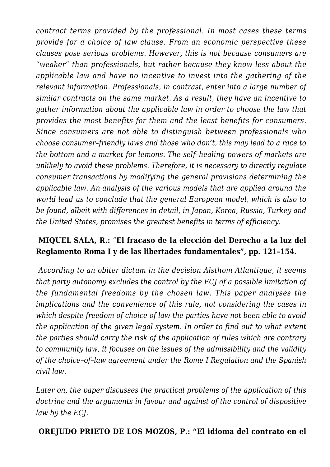*contract terms provided by the professional. In most cases these terms provide for a choice of law clause. From an economic perspective these clauses pose serious problems. However, this is not because consumers are "weaker" than professionals, but rather because they know less about the applicable law and have no incentive to invest into the gathering of the relevant information. Professionals, in contrast, enter into a large number of similar contracts on the same market. As a result, they have an incentive to gather information about the applicable law in order to choose the law that provides the most benefits for them and the least benefits for consumers. Since consumers are not able to distinguish between professionals who choose consumer–friendly laws and those who don't, this may lead to a race to the bottom and a market for lemons. The self–healing powers of markets are unlikely to avoid these problems. Therefore, it is necessary to directly regulate consumer transactions by modifying the general provisions determining the applicable law. An analysis of the various models that are applied around the world lead us to conclude that the general European model, which is also to be found, albeit with differences in detail, in Japan, Korea, Russia, Turkey and the United States, promises the greatest benefits in terms of efficiency.*

#### **MIQUEL SALA, R.:** "**El fracaso de la elección del Derecho a la luz del Reglamento Roma I y de las libertades fundamentales", pp. 121–154.**

*According to an obiter dictum in the decision Alsthom Atlantique, it seems that party autonomy excludes the control by the ECJ of a possible limitation of the fundamental freedoms by the chosen law. This paper analyses the implications and the convenience of this rule, not considering the cases in which despite freedom of choice of law the parties have not been able to avoid the application of the given legal system. In order to find out to what extent the parties should carry the risk of the application of rules which are contrary to community law, it focuses on the issues of the admissibility and the validity of the choice*–*of*–*law agreement under the Rome I Regulation and the Spanish civil law.*

*Later on, the paper discusses the practical problems of the application of this doctrine and the arguments in favour and against of the control of dispositive law by the ECJ.*

#### **OREJUDO PRIETO DE LOS MOZOS, P.: "El idioma del contrato en el**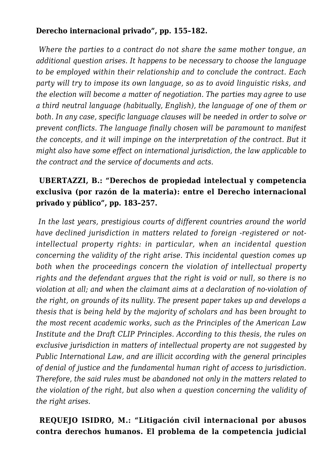#### **Derecho internacional privado", pp. 155–182.**

*Where the parties to a contract do not share the same mother tongue, an additional question arises. It happens to be necessary to choose the language to be employed within their relationship and to conclude the contract. Each party will try to impose its own language, so as to avoid linguistic risks, and the election will become a matter of negotiation. The parties may agree to use a third neutral language (habitually, English), the language of one of them or both. In any case, specific language clauses will be needed in order to solve or prevent conflicts. The language finally chosen will be paramount to manifest the concepts, and it will impinge on the interpretation of the contract. But it might also have some effect on international jurisdiction, the law applicable to the contract and the service of documents and acts.*

## **UBERTAZZI, B.: "Derechos de propiedad intelectual y competencia exclusiva (por razón de la materia): entre el Derecho internacional privado y público", pp. 183–257.**

*In the last years, prestigious courts of different countries around the world have declined jurisdiction in matters related to foreign -registered or notintellectual property rights: in particular, when an incidental question concerning the validity of the right arise. This incidental question comes up both when the proceedings concern the violation of intellectual property rights and the defendant argues that the right is void or null, so there is no violation at all; and when the claimant aims at a declaration of no-violation of the right, on grounds of its nullity. The present paper takes up and develops a thesis that is being held by the majority of scholars and has been brought to the most recent academic works, such as the Principles of the American Law Institute and the Draft CLIP Principles. According to this thesis, the rules on exclusive jurisdiction in matters of intellectual property are not suggested by Public International Law, and are illicit according with the general principles of denial of justice and the fundamental human right of access to jurisdiction. Therefore, the said rules must be abandoned not only in the matters related to the violation of the right, but also when a question concerning the validity of the right arises.*

#### **REQUEJO ISIDRO, M.: "Litigación civil internacional por abusos contra derechos humanos. El problema de la competencia judicial**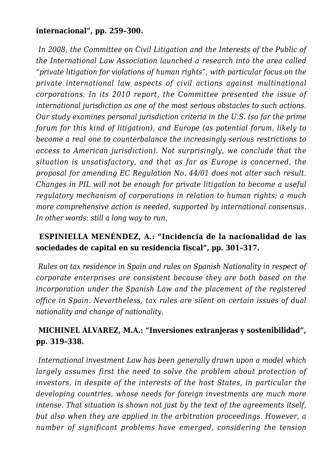#### **internacional", pp. 259–300.**

*In 2008, the Committee on Civil Litigation and the Interests of the Public of the International Law Association launched a research into the area called "private litigation for violations of human rights", with particular focus on the private international law aspects of civil actions against multinational corporations. In its 2010 report, the Committee presented the issue of international jurisdiction as one of the most serious obstacles to such actions. Our study examines personal jurisdiction criteria in the U.S. (so far the prime forum for this kind of litigation), and Europe (as potential forum, likely to become a real one to counterbalance the increasingly serious restrictions to access to American jurisdiction). Not surprisingly, we conclude that the situation is unsatisfactory, and that as far as Europe is concerned, the proposal for amending EC Regulation No. 44/01 does not alter such result. Changes in PIL will not be enough for private litigation to become a useful regulatory mechanism of corporations in relation to human rights; a much more comprehensive action is needed, supported by international consensus. In other words: still a long way to run.*

#### **ESPINIELLA MENÉNDEZ, A.: "Incidencia de la nacionalidad de las sociedades de capital en su residencia fiscal", pp. 301–317.**

*Rules on tax residence in Spain and rules on Spanish Nationality in respect of corporate enterprises are consistent because they are both based on the incorporation under the Spanish Law and the placement of the registered office in Spain. Nevertheless, tax rules are silent on certain issues of dual nationality and change of nationality.*

## **MICHINEL ÁLVAREZ, M.A.: "Inversiones extranjeras y sostenibilidad", pp. 319–338.**

*International investment Law has been generally drawn upon a model which largely assumes first the need to solve the problem about protection of investors, in despite of the interests of the host States, in particular the developing countries, whose needs for foreign investments are much more intense. That situation is shown not just by the text of the agreements itself, but also when they are applied in the arbitration proceedings. However, a number of significant problems have emerged, considering the tension*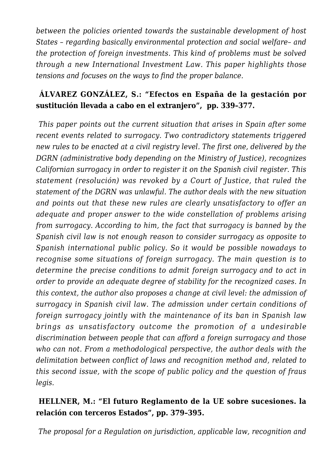*between the policies oriented towards the sustainable development of host States – regarding basically environmental protection and social welfare– and the protection of foreign investments. This kind of problems must be solved through a new International Investment Law. This paper highlights those tensions and focuses on the ways to find the proper balance.*

## **ÁLVAREZ GONZÁLEZ, S.: "Efectos en España de la gestación por sustitución llevada a cabo en el extranjero", pp. 339–377.**

*This paper points out the current situation that arises in Spain after some recent events related to surrogacy. Two contradictory statements triggered new rules to be enacted at a civil registry level. The first one, delivered by the DGRN (administrative body depending on the Ministry of Justice), recognizes Californian surrogacy in order to register it on the Spanish civil register. This statement (resolución) was revoked by a Court of Justice, that ruled the statement of the DGRN was unlawful. The author deals with the new situation and points out that these new rules are clearly unsatisfactory to offer an adequate and proper answer to the wide constellation of problems arising from surrogacy. According to him, the fact that surrogacy is banned by the Spanish civil law is not enough reason to consider surrogacy as opposite to Spanish international public policy. So it would be possible nowadays to recognise some situations of foreign surrogacy. The main question is to determine the precise conditions to admit foreign surrogacy and to act in order to provide an adequate degree of stability for the recognized cases. In this context, the author also proposes a change at civil level: the admission of surrogacy in Spanish civil law. The admission under certain conditions of foreign surrogacy jointly with the maintenance of its ban in Spanish law brings as unsatisfactory outcome the promotion of a undesirable discrimination between people that can afford a foreign surrogacy and those who can not. From a methodological perspective, the author deals with the delimitation between conflict of laws and recognition method and, related to this second issue, with the scope of public policy and the question of fraus legis.*

#### **HELLNER, M.: "El futuro Reglamento de la UE sobre sucesiones. la relación con terceros Estados", pp. 379–395.**

*The proposal for a Regulation on jurisdiction, applicable law, recognition and*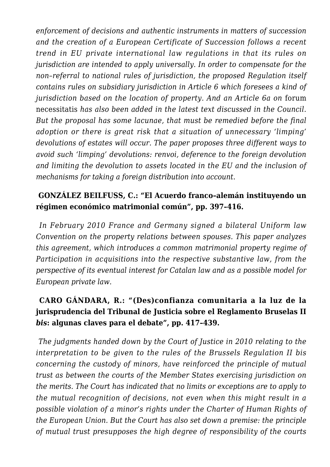*enforcement of decisions and authentic instruments in matters of succession and the creation of a European Certificate of Succession follows a recent trend in EU private international law regulations in that its rules on jurisdiction are intended to apply universally. In order to compensate for the non–referral to national rules of jurisdiction, the proposed Regulation itself contains rules on subsidiary jurisdiction in Article 6 which foresees a kind of jurisdiction based on the location of property. And an Article 6a on* forum necessitatis *has also been added in the latest text discussed in the Council. But the proposal has some lacunae, that must be remedied before the final adoption or there is great risk that a situation of unnecessary 'limping' devolutions of estates will occur. The paper proposes three different ways to avoid such 'limping' devolutions: renvoi, deference to the foreign devolution and limiting the devolution to assets located in the EU and the inclusion of mechanisms for taking a foreign distribution into account.*

#### **GONZÁLEZ BEILFUSS, C.: "El Acuerdo franco–alemán instituyendo un régimen económico matrimonial común", pp. 397–416.**

*In February 2010 France and Germany signed a bilateral Uniform law Convention on the property relations between spouses. This paper analyzes this agreement, which introduces a common matrimonial property regime of Participation in acquisitions into the respective substantive law, from the perspective of its eventual interest for Catalan law and as a possible model for European private law.*

## **CARO GÁNDARA, R.: "(Des)confianza comunitaria a la luz de la jurisprudencia del Tribunal de Justicia sobre el Reglamento Bruselas II** *bis***: algunas claves para el debate", pp. 417–439.**

*The judgments handed down by the Court of Justice in 2010 relating to the interpretation to be given to the rules of the Brussels Regulation II bis concerning the custody of minors, have reinforced the principle of mutual trust as between the courts of the Member States exercising jurisdiction on the merits. The Court has indicated that no limits or exceptions are to apply to the mutual recognition of decisions, not even when this might result in a possible violation of a minor's rights under the Charter of Human Rights of the European Union. But the Court has also set down a premise: the principle of mutual trust presupposes the high degree of responsibility of the courts*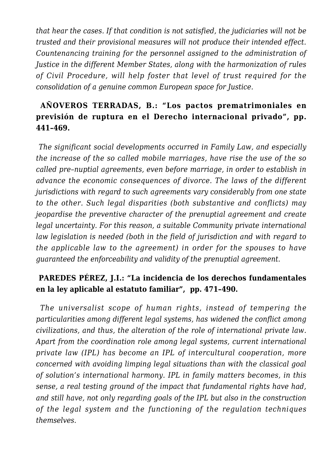*that hear the cases. If that condition is not satisfied, the judiciaries will not be trusted and their provisional measures will not produce their intended effect. Countenancing training for the personnel assigned to the administration of Justice in the different Member States, along with the harmonization of rules of Civil Procedure, will help foster that level of trust required for the consolidation of a genuine common European space for Justice.*

## **AÑOVEROS TERRADAS, B.: "Los pactos prematrimoniales en previsión de ruptura en el Derecho internacional privado", pp. 441–469.**

*The significant social developments occurred in Family Law, and especially the increase of the so called mobile marriages, have rise the use of the so called pre–nuptial agreements, even before marriage, in order to establish in advance the economic consequences of divorce. The laws of the different jurisdictions with regard to such agreements vary considerably from one state to the other. Such legal disparities (both substantive and conflicts) may jeopardise the preventive character of the prenuptial agreement and create legal uncertainty. For this reason, a suitable Community private international law legislation is needed (both in the field of jurisdiction and with regard to the applicable law to the agreement) in order for the spouses to have guaranteed the enforceability and validity of the prenuptial agreement.*

#### **PAREDES PÉREZ, J.I.: "La incidencia de los derechos fundamentales en la ley aplicable al estatuto familiar", pp. 471–490.**

*The universalist scope of human rights, instead of tempering the particularities among different legal systems, has widened the conflict among civilizations, and thus, the alteration of the role of international private law. Apart from the coordination role among legal systems, current international private law (IPL) has become an IPL of intercultural cooperation, more concerned with avoiding limping legal situations than with the classical goal of solution's international harmony. IPL in family matters becomes, in this sense, a real testing ground of the impact that fundamental rights have had, and still have, not only regarding goals of the IPL but also in the construction of the legal system and the functioning of the regulation techniques themselves.*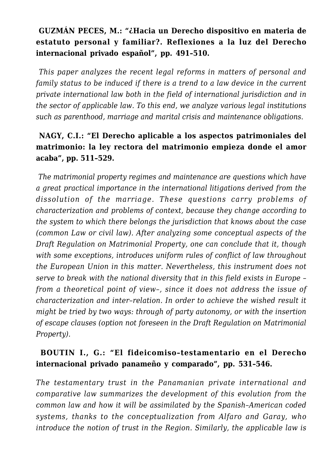## **GUZMÁN PECES, M.: "¿Hacia un Derecho dispositivo en materia de estatuto personal y familiar?. Reflexiones a la luz del Derecho internacional privado español", pp. 491–510.**

*This paper analyzes the recent legal reforms in matters of personal and family status to be induced if there is a trend to a law device in the current private international law both in the field of international jurisdiction and in the sector of applicable law. To this end, we analyze various legal institutions such as parenthood, marriage and marital crisis and maintenance obligations*.

## **NAGY, C.I.: "El Derecho aplicable a los aspectos patrimoniales del matrimonio: la ley rectora del matrimonio empieza donde el amor acaba", pp. 511–529.**

*The matrimonial property regimes and maintenance are questions which have a great practical importance in the international litigations derived from the dissolution of the marriage. These questions carry problems of characterization and problems of context, because they change according to the system to which there belongs the jurisdiction that knows about the case (common Law or civil law). After analyzing some conceptual aspects of the Draft Regulation on Matrimonial Property, one can conclude that it, though with some exceptions, introduces uniform rules of conflict of law throughout the European Union in this matter. Nevertheless, this instrument does not serve to break with the national diversity that in this field exists in Europe – from a theoretical point of view–, since it does not address the issue of characterization and inter–relation. In order to achieve the wished result it might be tried by two ways: through of party autonomy, or with the insertion of escape clauses (option not foreseen in the Draft Regulation on Matrimonial Property).*

## **BOUTIN I., G.: "El fideicomiso–testamentario en el Derecho internacional privado panameño y comparado", pp. 531–546.**

*The testamentary trust in the Panamanian private international and comparative law summarizes the development of this evolution from the common law and how it will be assimilated by the Spanish–American coded systems, thanks to the conceptualization from Alfaro and Garay, who introduce the notion of trust in the Region. Similarly, the applicable law is*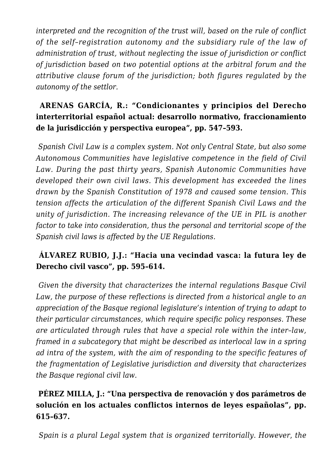*interpreted and the recognition of the trust will, based on the rule of conflict of the self–registration autonomy and the subsidiary rule of the law of administration of trust, without neglecting the issue of jurisdiction or conflict of jurisdiction based on two potential options at the arbitral forum and the attributive clause forum of the jurisdiction; both figures regulated by the autonomy of the settlor.*

## **ARENAS GARCÍA, R.: "Condicionantes y principios del Derecho interterritorial español actual: desarrollo normativo, fraccionamiento de la jurisdicción y perspectiva europea", pp. 547–593.**

*Spanish Civil Law is a complex system. Not only Central State, but also some Autonomous Communities have legislative competence in the field of Civil Law. During the past thirty years, Spanish Autonomic Communities have developed their own civil laws. This development has exceeded the lines drawn by the Spanish Constitution of 1978 and caused some tension. This tension affects the articulation of the different Spanish Civil Laws and the unity of jurisdiction. The increasing relevance of the UE in PIL is another factor to take into consideration, thus the personal and territorial scope of the Spanish civil laws is affected by the UE Regulations.*

## **ÁLVAREZ RUBIO, J.J.: "Hacia una vecindad vasca: la futura ley de Derecho civil vasco", pp. 595–614.**

*Given the diversity that characterizes the internal regulations Basque Civil Law, the purpose of these reflections is directed from a historical angle to an appreciation of the Basque regional legislature's intention of trying to adapt to their particular circumstances, which require specific policy responses. These are articulated through rules that have a special role within the inter–law, framed in a subcategory that might be described as interlocal law in a spring ad intra of the system, with the aim of responding to the specific features of the fragmentation of Legislative jurisdiction and diversity that characterizes the Basque regional civil law.*

## **PÉREZ MILLA, J.: "Una perspectiva de renovación y dos parámetros de solución en los actuales conflictos internos de leyes españolas", pp. 615–637.**

*Spain is a plural Legal system that is organized territorially*. *However*, *the*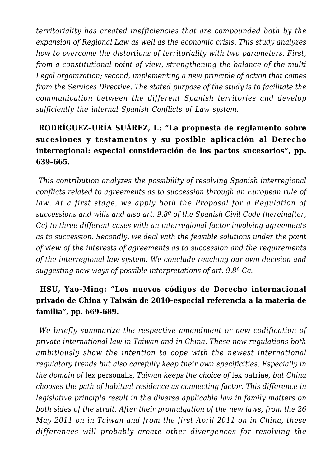*territoriality has created inefficiencies that are compounded both by the expansion of Regional Law as well as the economic crisis. This study analyzes how to overcome the distortions of territoriality with two parameters. First, from a constitutional point of view, strengthening the balance of the multi Legal organization; second, implementing a new principle of action that comes from the Services Directive. The stated purpose of the study is to facilitate the communication between the different Spanish territories and develop sufficiently the internal Spanish Conflicts of Law system.*

## **RODRÍGUEZ–URÍA SUÁREZ, I.: "La propuesta de reglamento sobre sucesiones y testamentos y su posible aplicación al Derecho interregional: especial consideración de los pactos sucesorios", pp. 639–665.**

*This contribution analyzes the possibility of resolving Spanish interregional conflicts related to agreements as to succession through an European rule of law. At a first stage, we apply both the Proposal for a Regulation of successions and wills and also art. 9.8º of the Spanish Civil Code (hereinafter, Cc) to three different cases with an interregional factor involving agreements as to succession. Secondly, we deal with the feasible solutions under the point of view of the interests of agreements as to succession and the requirements of the interregional law system. We conclude reaching our own decision and suggesting new ways of possible interpretations of art. 9.8º Cc.*

#### **HSU, Yao–Ming: "Los nuevos códigos de Derecho internacional privado de China y Taiwán de 2010–especial referencia a la materia de familia", pp. 669–689.**

*We briefly summarize the respective amendment or new codification of private international law in Taiwan and in China. These new regulations both ambitiously show the intention to cope with the newest international regulatory trends but also carefully keep their own specificities. Especially in the domain of* lex personalis*, Taiwan keeps the choice of* lex patriae*, but China chooses the path of habitual residence as connecting factor. This difference in legislative principle result in the diverse applicable law in family matters on both sides of the strait. After their promulgation of the new laws, from the 26 May 2011 on in Taiwan and from the first April 2011 on in China, these differences will probably create other divergences for resolving the*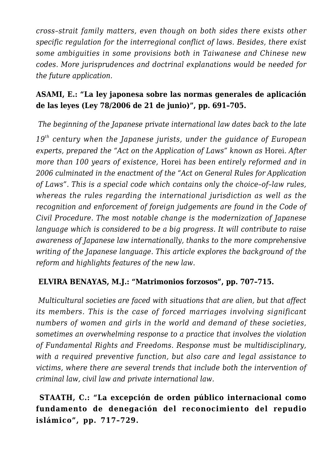*cross–strait family matters, even though on both sides there exists other specific regulation for the interregional conflict of laws. Besides, there exist some ambiguities in some provisions both in Taiwanese and Chinese new codes. More jurisprudences and doctrinal explanations would be needed for the future application.*

## **ASAMI, E.: "La ley japonesa sobre las normas generales de aplicación de las leyes (Ley 78/2006 de 21 de junio)", pp. 691–705.**

*The beginning of the Japanese private international law dates back to the late*

*19th century when the Japanese jurists, under the guidance of European experts, prepared the "Act on the Application of Laws" known as Horei. After more than 100 years of existence,* Horei *has been entirely reformed and in 2006 culminated in the enactment of the "Act on General Rules for Application of Laws". This is a special code which contains only the choice–of–law rules, whereas the rules regarding the international jurisdiction as well as the recognition and enforcement of foreign judgements are found in the Code of Civil Procedure. The most notable change is the modernization of Japanese language which is considered to be a big progress. It will contribute to raise awareness of Japanese law internationally, thanks to the more comprehensive writing of the Japanese language. This article explores the background of the reform and highlights features of the new law.*

#### **ELVIRA BENAYAS, M.J.: "Matrimonios forzosos", pp. 707–715.**

*Multicultural societies are faced with situations that are alien, but that affect its members. This is the case of forced marriages involving significant numbers of women and girls in the world and demand of these societies, sometimes an overwhelming response to a practice that involves the violation of Fundamental Rights and Freedoms. Response must be multidisciplinary, with a required preventive function, but also care and legal assistance to victims, where there are several trends that include both the intervention of criminal law, civil law and private international law.*

**STAATH, C.: "La excepción de orden público internacional como fundamento de denegación del reconocimiento del repudio islámico", pp. 717–729.**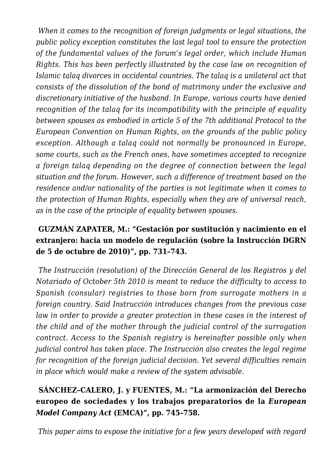*When it comes to the recognition of foreign judgments or legal situations, the public policy exception constitutes the last legal tool to ensure the protection of the fundamental values of the forum's legal order, which include Human Rights. This has been perfectly illustrated by the case law on recognition of Islamic talaq divorces in occidental countries. The talaq is a unilateral act that consists of the dissolution of the bond of matrimony under the exclusive and discretionary initiative of the husband. In Europe, various courts have denied recognition of the talaq for its incompatibility with the principle of equality between spouses as embodied in article 5 of the 7th additional Protocol to the European Convention on Human Rights, on the grounds of the public policy exception. Although a talaq could not normally be pronounced in Europe, some courts, such as the French ones, have sometimes accepted to recognize a foreign talaq depending on the degree of connection between the legal situation and the forum. However, such a difference of treatment based on the residence and/or nationality of the parties is not legitimate when it comes to the protection of Human Rights, especially when they are of universal reach, as in the case of the principle of equality between spouses.*

## **GUZMÁN ZAPATER, M.: "Gestación por sustitución y nacimiento en el extranjero: hacia un modelo de regulación (sobre la Instrucción DGRN de 5 de octubre de 2010)", pp. 731–743.**

*The Instrucción (resolution) of the Dirección General de los Registros y del Notariado of October 5th 2010 is meant to reduce the difficulty to access to Spanish (consular) registries to those born from surrogate mothers in a foreign country. Said Instrucción introduces changes from the previous case law in order to provide a greater protection in these cases in the interest of the child and of the mother through the judicial control of the surrogation contract. Access to the Spanish registry is hereinafter possible only when judicial control has taken place. The Instrucción also creates the legal regime for recognition of the foreign judicial decision. Yet several difficulties remain in place which would make a review of the system advisable.*

# **SÁNCHEZ–CALERO, J. y FUENTES, M.: "La armonización del Derecho europeo de sociedades y los trabajos preparatorios de la** *European Model Company Act* **(EMCA)", pp. 745–758.**

*This paper aims to expose the initiative for a few years developed with regard*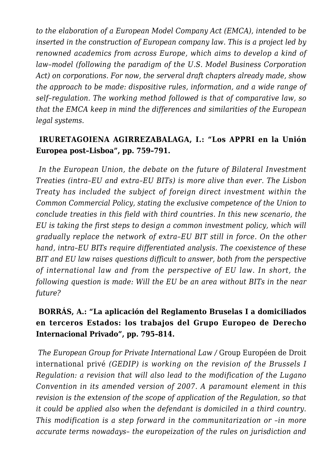*to the elaboration of a European Model Company Act (EMCA), intended to be inserted in the construction of European company law. This is a project led by renowned academics from across Europe, which aims to develop a kind of law–model (following the paradigm of the U.S. Model Business Corporation Act) on corporations. For now, the serveral draft chapters already made, show the approach to be made: dispositive rules, information, and a wide range of self–regulation. The working method followed is that of comparative law, so that the EMCA keep in mind the differences and similarities of the European legal systems.*

## **IRURETAGOIENA AGIRREZABALAGA, I.: "Los APPRI en la Unión Europea post–Lisboa", pp. 759–791.**

*In the European Union, the debate on the future of Bilateral Investment Treaties (intra–EU and extra–EU BITs) is more alive than ever. The Lisbon Treaty has included the subject of foreign direct investment within the Common Commercial Policy, stating the exclusive competence of the Union to conclude treaties in this field with third countries. In this new scenario, the EU is taking the first steps to design a common investment policy, which will gradually replace the network of extra–EU BIT still in force. On the other hand, intra–EU BITs require differentiated analysis. The coexistence of these BIT and EU law raises questions difficult to answer, both from the perspective of international law and from the perspective of EU law. In short, the following question is made: Will the EU be an area without BITs in the near future?*

## **BORRÁS, A.: "La aplicación del Reglamento Bruselas I a domiciliados en terceros Estados: los trabajos del Grupo Europeo de Derecho Internacional Privado", pp. 795–814.**

*The European Group for Private International Law /* Group Européen de Droit international privé *(GEDIP) is working on the revision of the Brussels I Regulation: a revision that will also lead to the modification of the Lugano Convention in its amended version of 2007. A paramount element in this revision is the extension of the scope of application of the Regulation, so that it could be applied also when the defendant is domiciled in a third country. This modification is a step forward in the communitarization or –in more accurate terms nowadays– the europeization of the rules on jurisdiction and*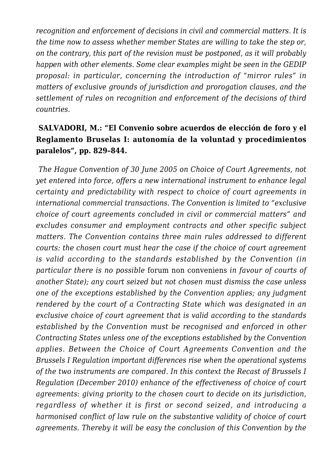*recognition and enforcement of decisions in civil and commercial matters. It is the time now to assess whether member States are willing to take the step or, on the contrary, this part of the revision must be postponed, as it will probably happen with other elements. Some clear examples might be seen in the GEDIP proposal: in particular, concerning the introduction of "mirror rules" in matters of exclusive grounds of jurisdiction and prorogation clauses, and the settlement of rules on recognition and enforcement of the decisions of third countries.*

## **SALVADORI, M.: "El Convenio sobre acuerdos de elección de foro y el Reglamento Bruselas I: autonomía de la voluntad y procedimientos paralelos", pp. 829–844.**

*The Hague Convention of 30 June 2005 on Choice of Court Agreements, not yet entered into force, offers a new international instrument to enhance legal certainty and predictability with respect to choice of court agreements in international commercial transactions. The Convention is limited to "exclusive choice of court agreements concluded in civil or commercial matters" and excludes consumer and employment contracts and other specific subject matters. The Convention contains three main rules addressed to different courts: the chosen court must hear the case if the choice of court agreement is valid according to the standards established by the Convention (in particular there is no possible* forum non conveniens *in favour of courts of another State); any court seized but not chosen must dismiss the case unless one of the exceptions established by the Convention applies; any judgment rendered by the court of a Contracting State which was designated in an exclusive choice of court agreement that is valid according to the standards established by the Convention must be recognised and enforced in other Contracting States unless one of the exceptions established by the Convention applies. Between the Choice of Court Agreements Convention and the Brussels I Regulation important differences rise when the operational systems of the two instruments are compared. In this context the Recast of Brussels I Regulation (December 2010) enhance of the effectiveness of choice of court agreements: giving priority to the chosen court to decide on its jurisdiction, regardless of whether it is first or second seized, and introducing a harmonised conflict of law rule on the substantive validity of choice of court agreements. Thereby it will be easy the conclusion of this Convention by the*